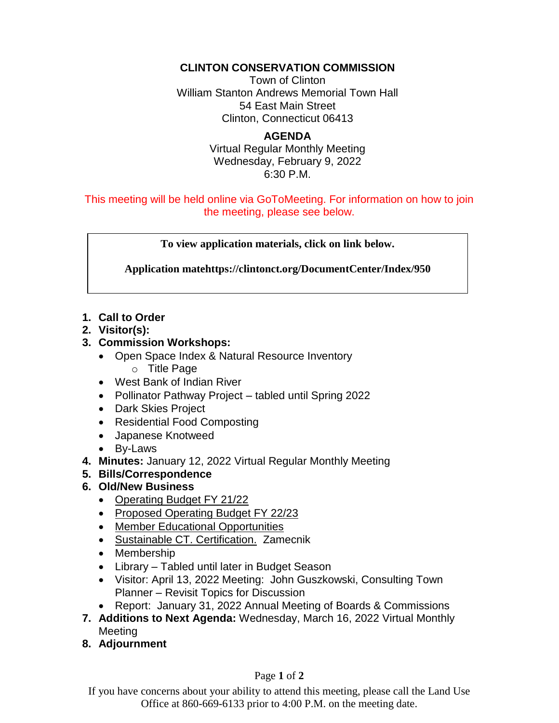### **CLINTON CONSERVATION COMMISSION**

Town of Clinton William Stanton Andrews Memorial Town Hall 54 East Main Street Clinton, Connecticut 06413

#### **AGENDA** Virtual Regular Monthly Meeting Wednesday, February 9, 2022 6:30 P.M.

This meeting will be held online via GoToMeeting. For information on how to join the meeting, please see below.

**To view application materials, click on link below.**

**Application matehttps://clintonct.org/DocumentCenter/Index/950**

# **1. Call to Order**

**2. Visitor(s):** 

# **3. Commission Workshops:**

- Open Space Index & Natural Resource Inventory o Title Page
- West Bank of Indian River
- Pollinator Pathway Project tabled until Spring 2022
- Dark Skies Project
- Residential Food Composting
- Japanese Knotweed
- By-Laws
- **4. Minutes:** January 12, 2022 Virtual Regular Monthly Meeting
- **5. Bills/Correspondence**
- **6. Old/New Business**
	- Operating Budget FY 21/22
	- Proposed Operating Budget FY 22/23
	- Member Educational Opportunities
	- Sustainable CT. Certification. Zamecnik
	- Membership
	- Library Tabled until later in Budget Season
	- Visitor: April 13, 2022 Meeting: John Guszkowski, Consulting Town Planner – Revisit Topics for Discussion
	- Report: January 31, 2022 Annual Meeting of Boards & Commissions
- **7. Additions to Next Agenda:** Wednesday, March 16, 2022 Virtual Monthly Meeting
- **8. Adjournment**

#### Page **1** of **2**

If you have concerns about your ability to attend this meeting, please call the Land Use Office at 860-669-6133 prior to 4:00 P.M. on the meeting date.